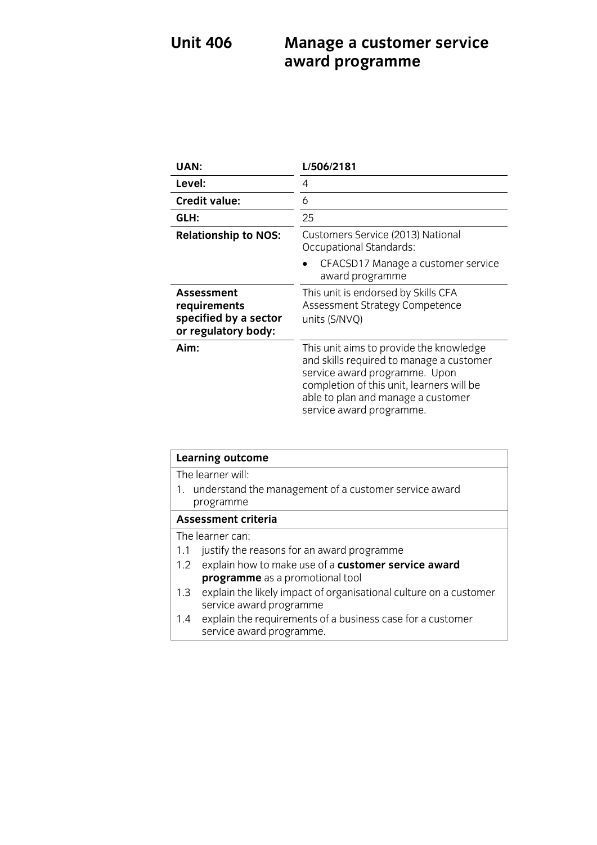### **Unit 406 Manage a customer service award programme**

| UAN:                                                                       | L/506/2181                                                                                                                                                                                                                          |
|----------------------------------------------------------------------------|-------------------------------------------------------------------------------------------------------------------------------------------------------------------------------------------------------------------------------------|
| Level:                                                                     | 4                                                                                                                                                                                                                                   |
| <b>Credit value:</b>                                                       | 6                                                                                                                                                                                                                                   |
| GLH:                                                                       | 25                                                                                                                                                                                                                                  |
| <b>Relationship to NOS:</b>                                                | Customers Service (2013) National<br>Occupational Standards:                                                                                                                                                                        |
|                                                                            | CFACSD17 Manage a customer service<br>award programme                                                                                                                                                                               |
| Assessment<br>requirements<br>specified by a sector<br>or regulatory body: | This unit is endorsed by Skills CFA<br>Assessment Strategy Competence<br>units (S/NVQ)                                                                                                                                              |
| Aim:                                                                       | This unit aims to provide the knowledge<br>and skills required to manage a customer<br>service award programme. Upon<br>completion of this unit, learners will be<br>able to plan and manage a customer<br>service award programme. |

| <b>Learning outcome</b>                                                                             |  |
|-----------------------------------------------------------------------------------------------------|--|
| The learner will:                                                                                   |  |
| 1. understand the management of a customer service award                                            |  |
| programme                                                                                           |  |
| <b>Assessment criteria</b>                                                                          |  |
| The learner can:                                                                                    |  |
| justify the reasons for an award programme<br>1.1                                                   |  |
| explain how to make use of a customer service award<br>1.2                                          |  |
| programme as a promotional tool                                                                     |  |
| explain the likely impact of organisational culture on a customer<br>1.3<br>service award programme |  |
| explain the requirements of a business case for a customer<br>1.4<br>service award programme.       |  |
|                                                                                                     |  |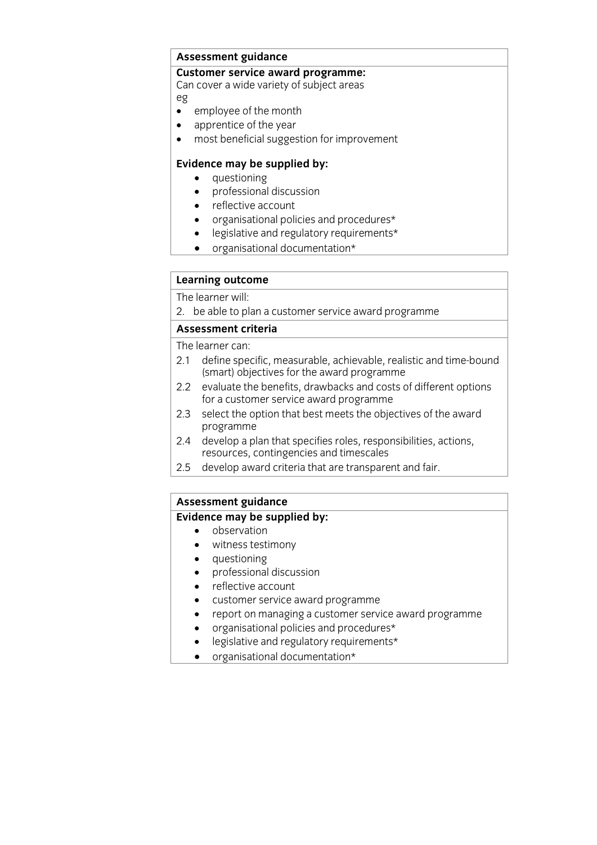# **Assessment guidance**

Can cover a wide variety of subject areas Can cover a wide variety of subject areas

- employee of the month
- apprentice of the year<br>• most beneficial sugges
- most beneficial suggestion for improvement

- **Evidence may** be supplied by:<br> **•** questioning<br>
professional discussion
	- professional discussion
	- reflective account
	- organisational policies and procedures\*
	- legislative and regulatory requirements\*
	- organisational documentation\*

# **Learning outcome**<br>The learner will:

The results with  $\frac{1}{2}$ . be a customer service and programmer service award programmer service award programmer service award programmer service award programmer service award programmer service award programmer service award programme

### **Assessment criteria**<br>The learner can:

- 2.1 define specific, measurable, achievable, realistic and time-bound (smart) objectives for the award programme
- 2.2 evaluate the benefits, drawbacks and costs of different options for a customer service award programme
- 2.3 select the option that best meets the objectives of the award programme
- 2.4 develop a plan that specifies roles, responsibilities, actions, resources, contingencies and timescales
- 2.5 develop award criteria that are transparent and fair. 2.5 develop award criteria that are transparent and fair.

# **Assessment guidance**

- **Evidence** may be supplied by:
	- witness testimony
	- questioning
	- professional discussion
	- reflective account
	- customer service award programme
	- report on managing a customer service award programme
	- organisational policies and procedures\*
	- legislative and regulatory requirements\*
	- organisational documentation\*